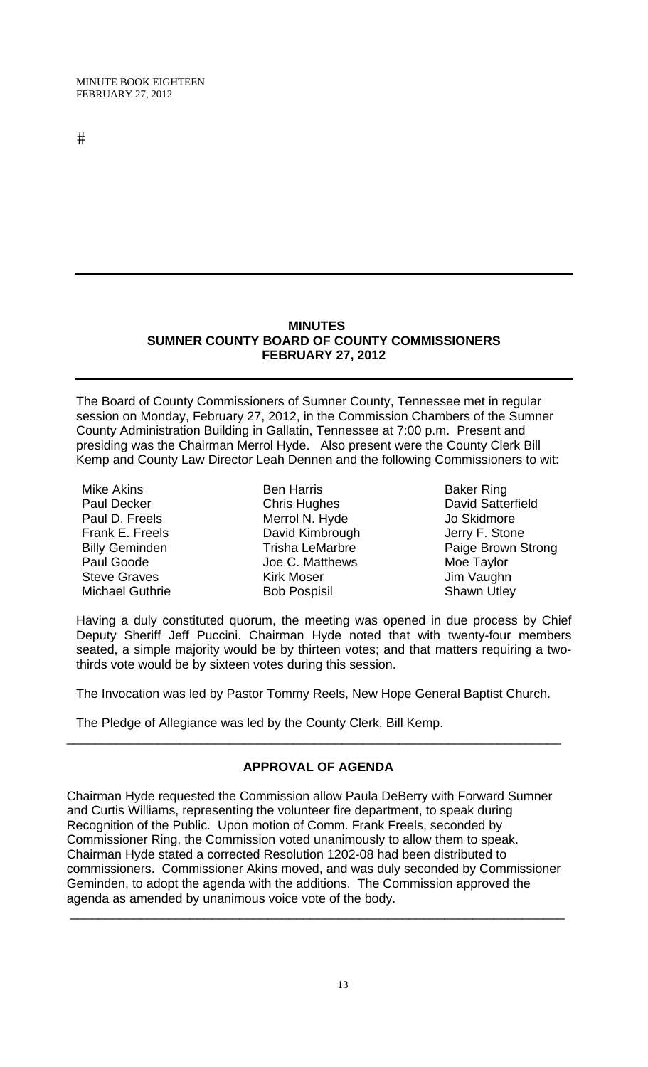$#$ 

### **MINUTES SUMNER COUNTY BOARD OF COUNTY COMMISSIONERS FEBRUARY 27, 2012**

The Board of County Commissioners of Sumner County, Tennessee met in regular session on Monday, February 27, 2012, in the Commission Chambers of the Sumner County Administration Building in Gallatin, Tennessee at 7:00 p.m. Present and presiding was the Chairman Merrol Hyde. Also present were the County Clerk Bill Kemp and County Law Director Leah Dennen and the following Commissioners to wit:

Mike Akins Paul Decker Paul D. Freels Frank E. Freels Billy Geminden Paul Goode Steve Graves Michael Guthrie

Ben Harris Chris Hughes Merrol N. Hyde David Kimbrough Trisha LeMarbre Joe C. Matthews Kirk Moser Bob Pospisil

Baker Ring David Satterfield Jo Skidmore Jerry F. Stone Paige Brown Strong Moe Taylor Jim Vaughn Shawn Utley

Having a duly constituted quorum, the meeting was opened in due process by Chief Deputy Sheriff Jeff Puccini. Chairman Hyde noted that with twenty-four members seated, a simple majority would be by thirteen votes; and that matters requiring a twothirds vote would be by sixteen votes during this session.

The Invocation was led by Pastor Tommy Reels, New Hope General Baptist Church.

The Pledge of Allegiance was led by the County Clerk, Bill Kemp.

# **APPROVAL OF AGENDA**

\_\_\_\_\_\_\_\_\_\_\_\_\_\_\_\_\_\_\_\_\_\_\_\_\_\_\_\_\_\_\_\_\_\_\_\_\_\_\_\_\_\_\_\_\_\_\_\_\_\_\_\_\_\_\_\_\_\_\_\_\_\_\_\_\_\_\_\_\_\_

Chairman Hyde requested the Commission allow Paula DeBerry with Forward Sumner and Curtis Williams, representing the volunteer fire department, to speak during Recognition of the Public. Upon motion of Comm. Frank Freels, seconded by Commissioner Ring, the Commission voted unanimously to allow them to speak. Chairman Hyde stated a corrected Resolution 1202-08 had been distributed to commissioners. Commissioner Akins moved, and was duly seconded by Commissioner Geminden, to adopt the agenda with the additions. The Commission approved the agenda as amended by unanimous voice vote of the body.

\_\_\_\_\_\_\_\_\_\_\_\_\_\_\_\_\_\_\_\_\_\_\_\_\_\_\_\_\_\_\_\_\_\_\_\_\_\_\_\_\_\_\_\_\_\_\_\_\_\_\_\_\_\_\_\_\_\_\_\_\_\_\_\_\_\_\_\_\_\_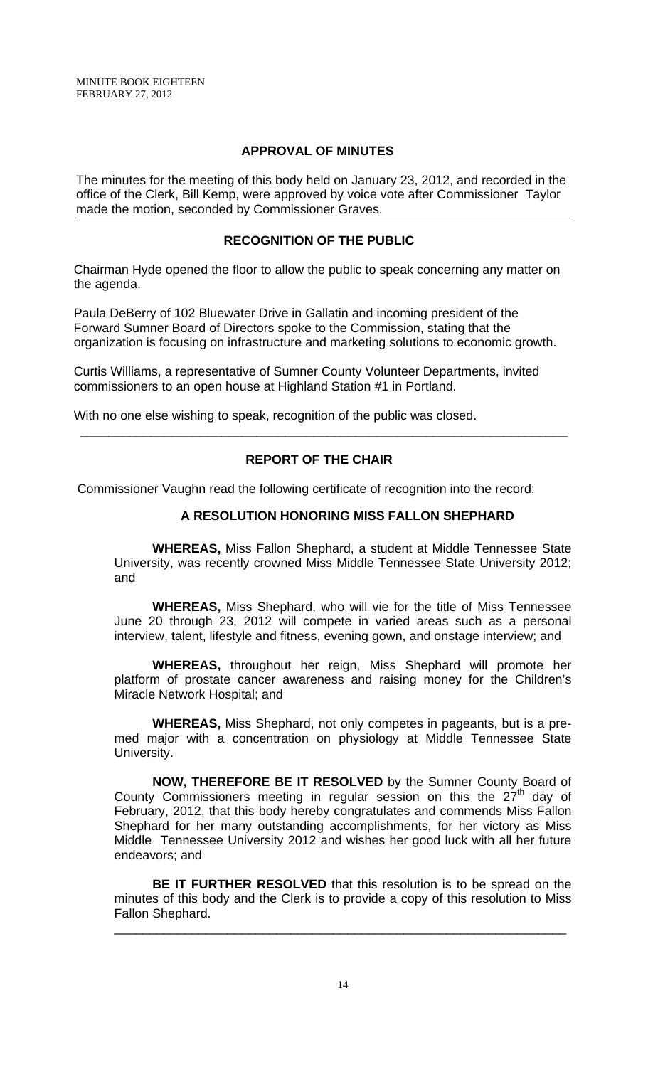# **APPROVAL OF MINUTES**

The minutes for the meeting of this body held on January 23, 2012, and recorded in the office of the Clerk, Bill Kemp, were approved by voice vote after Commissioner Taylor made the motion, seconded by Commissioner Graves.

# **RECOGNITION OF THE PUBLIC**

 Chairman Hyde opened the floor to allow the public to speak concerning any matter on the agenda.

 Paula DeBerry of 102 Bluewater Drive in Gallatin and incoming president of the Forward Sumner Board of Directors spoke to the Commission, stating that the organization is focusing on infrastructure and marketing solutions to economic growth.

 Curtis Williams, a representative of Sumner County Volunteer Departments, invited commissioners to an open house at Highland Station #1 in Portland.

With no one else wishing to speak, recognition of the public was closed.

# **REPORT OF THE CHAIR**

\_\_\_\_\_\_\_\_\_\_\_\_\_\_\_\_\_\_\_\_\_\_\_\_\_\_\_\_\_\_\_\_\_\_\_\_\_\_\_\_\_\_\_\_\_\_\_\_\_\_\_\_\_\_\_\_\_\_\_\_\_\_\_\_\_\_\_\_\_

Commissioner Vaughn read the following certificate of recognition into the record:

# **A RESOLUTION HONORING MISS FALLON SHEPHARD**

 **WHEREAS,** Miss Fallon Shephard, a student at Middle Tennessee State University, was recently crowned Miss Middle Tennessee State University 2012; and

**WHEREAS,** Miss Shephard, who will vie for the title of Miss Tennessee June 20 through 23, 2012 will compete in varied areas such as a personal interview, talent, lifestyle and fitness, evening gown, and onstage interview; and

**WHEREAS,** throughout her reign, Miss Shephard will promote her platform of prostate cancer awareness and raising money for the Children's Miracle Network Hospital; and

**WHEREAS,** Miss Shephard, not only competes in pageants, but is a premed major with a concentration on physiology at Middle Tennessee State University.

**NOW, THEREFORE BE IT RESOLVED** by the Sumner County Board of County Commissioners meeting in regular session on this the  $27<sup>th</sup>$  day of February, 2012, that this body hereby congratulates and commends Miss Fallon Shephard for her many outstanding accomplishments, for her victory as Miss Middle Tennessee University 2012 and wishes her good luck with all her future endeavors; and

**BE IT FURTHER RESOLVED** that this resolution is to be spread on the minutes of this body and the Clerk is to provide a copy of this resolution to Miss Fallon Shephard.

\_\_\_\_\_\_\_\_\_\_\_\_\_\_\_\_\_\_\_\_\_\_\_\_\_\_\_\_\_\_\_\_\_\_\_\_\_\_\_\_\_\_\_\_\_\_\_\_\_\_\_\_\_\_\_\_\_\_\_\_\_\_\_\_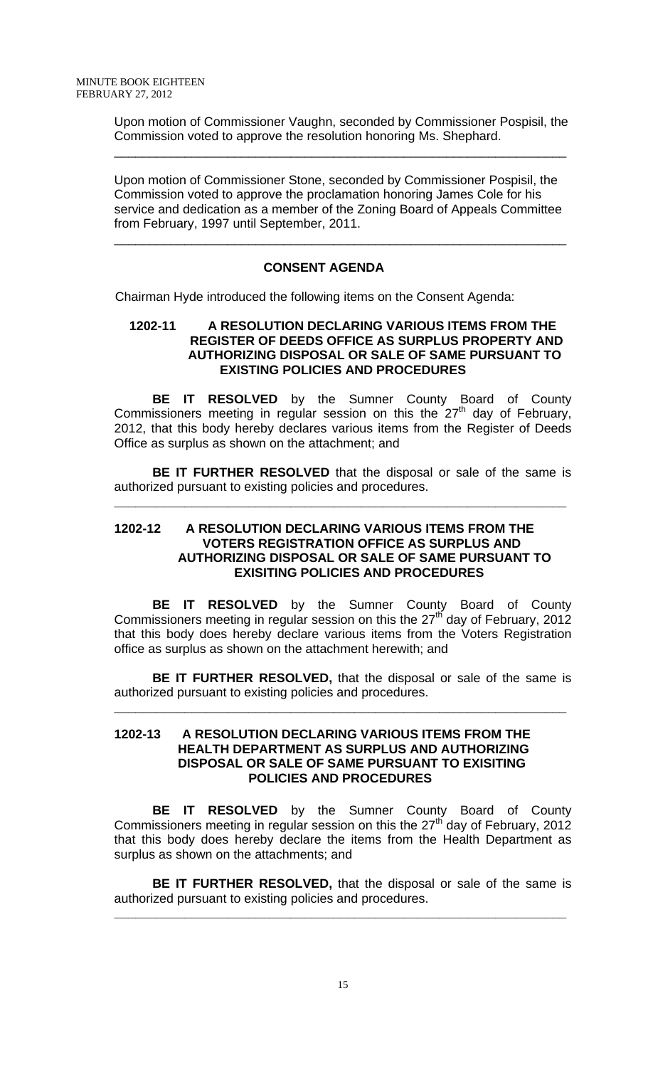Upon motion of Commissioner Vaughn, seconded by Commissioner Pospisil, the Commission voted to approve the resolution honoring Ms. Shephard.

\_\_\_\_\_\_\_\_\_\_\_\_\_\_\_\_\_\_\_\_\_\_\_\_\_\_\_\_\_\_\_\_\_\_\_\_\_\_\_\_\_\_\_\_\_\_\_\_\_\_\_\_\_\_\_\_\_\_\_\_\_\_\_\_

Upon motion of Commissioner Stone, seconded by Commissioner Pospisil, the Commission voted to approve the proclamation honoring James Cole for his service and dedication as a member of the Zoning Board of Appeals Committee from February, 1997 until September, 2011.

\_\_\_\_\_\_\_\_\_\_\_\_\_\_\_\_\_\_\_\_\_\_\_\_\_\_\_\_\_\_\_\_\_\_\_\_\_\_\_\_\_\_\_\_\_\_\_\_\_\_\_\_\_\_\_\_\_\_\_\_\_\_\_\_

# **CONSENT AGENDA**

Chairman Hyde introduced the following items on the Consent Agenda:

### **1202-11 A RESOLUTION DECLARING VARIOUS ITEMS FROM THE REGISTER OF DEEDS OFFICE AS SURPLUS PROPERTY AND AUTHORIZING DISPOSAL OR SALE OF SAME PURSUANT TO EXISTING POLICIES AND PROCEDURES**

**BE IT RESOLVED** by the Sumner County Board of County Commissioners meeting in regular session on this the  $27<sup>th</sup>$  day of February, 2012, that this body hereby declares various items from the Register of Deeds Office as surplus as shown on the attachment; and

**BE IT FURTHER RESOLVED** that the disposal or sale of the same is authorized pursuant to existing policies and procedures.

**\_\_\_\_\_\_\_\_\_\_\_\_\_\_\_\_\_\_\_\_\_\_\_\_\_\_\_\_\_\_\_\_\_\_\_\_\_\_\_\_\_\_\_\_\_\_\_\_\_\_\_\_\_\_\_\_\_\_\_\_\_\_\_\_**

### **1202-12 A RESOLUTION DECLARING VARIOUS ITEMS FROM THE VOTERS REGISTRATION OFFICE AS SURPLUS AND AUTHORIZING DISPOSAL OR SALE OF SAME PURSUANT TO EXISITING POLICIES AND PROCEDURES**

 **BE IT RESOLVED** by the Sumner County Board of County Commissioners meeting in regular session on this the  $27<sup>th</sup>$  day of February, 2012 that this body does hereby declare various items from the Voters Registration office as surplus as shown on the attachment herewith; and

**BE IT FURTHER RESOLVED,** that the disposal or sale of the same is authorized pursuant to existing policies and procedures.

**\_\_\_\_\_\_\_\_\_\_\_\_\_\_\_\_\_\_\_\_\_\_\_\_\_\_\_\_\_\_\_\_\_\_\_\_\_\_\_\_\_\_\_\_\_\_\_\_\_\_\_\_\_\_\_\_\_\_\_\_\_\_\_\_**

### **1202-13 A RESOLUTION DECLARING VARIOUS ITEMS FROM THE HEALTH DEPARTMENT AS SURPLUS AND AUTHORIZING DISPOSAL OR SALE OF SAME PURSUANT TO EXISITING POLICIES AND PROCEDURES**

 **BE IT RESOLVED** by the Sumner County Board of County Commissioners meeting in regular session on this the  $27<sup>th</sup>$  day of February, 2012 that this body does hereby declare the items from the Health Department as surplus as shown on the attachments; and

**BE IT FURTHER RESOLVED,** that the disposal or sale of the same is authorized pursuant to existing policies and procedures.

**\_\_\_\_\_\_\_\_\_\_\_\_\_\_\_\_\_\_\_\_\_\_\_\_\_\_\_\_\_\_\_\_\_\_\_\_\_\_\_\_\_\_\_\_\_\_\_\_\_\_\_\_\_\_\_\_\_\_\_\_\_\_\_\_**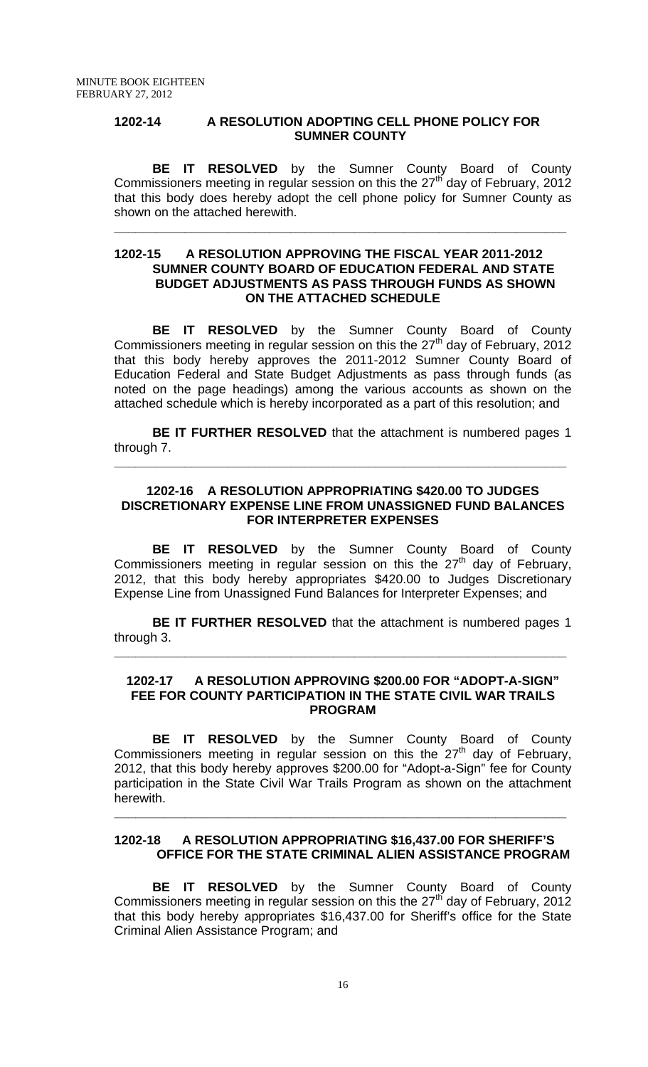#### **1202-14 A RESOLUTION ADOPTING CELL PHONE POLICY FOR SUMNER COUNTY**

 **BE IT RESOLVED** by the Sumner County Board of County Commissioners meeting in regular session on this the  $27<sup>th</sup>$  day of February, 2012 that this body does hereby adopt the cell phone policy for Sumner County as shown on the attached herewith.

**\_\_\_\_\_\_\_\_\_\_\_\_\_\_\_\_\_\_\_\_\_\_\_\_\_\_\_\_\_\_\_\_\_\_\_\_\_\_\_\_\_\_\_\_\_\_\_\_\_\_\_\_\_\_\_\_\_\_\_\_\_\_\_\_**

#### **1202-15 A RESOLUTION APPROVING THE FISCAL YEAR 2011-2012 SUMNER COUNTY BOARD OF EDUCATION FEDERAL AND STATE BUDGET ADJUSTMENTS AS PASS THROUGH FUNDS AS SHOWN ON THE ATTACHED SCHEDULE**

 **BE IT RESOLVED** by the Sumner County Board of County Commissioners meeting in regular session on this the  $27<sup>th</sup>$  day of February, 2012 that this body hereby approves the 2011-2012 Sumner County Board of Education Federal and State Budget Adjustments as pass through funds (as noted on the page headings) among the various accounts as shown on the attached schedule which is hereby incorporated as a part of this resolution; and

**BE IT FURTHER RESOLVED** that the attachment is numbered pages 1 through 7.

**\_\_\_\_\_\_\_\_\_\_\_\_\_\_\_\_\_\_\_\_\_\_\_\_\_\_\_\_\_\_\_\_\_\_\_\_\_\_\_\_\_\_\_\_\_\_\_\_\_\_\_\_\_\_\_\_\_\_\_\_\_\_\_\_**

### **1202-16 A RESOLUTION APPROPRIATING \$420.00 TO JUDGES DISCRETIONARY EXPENSE LINE FROM UNASSIGNED FUND BALANCES FOR INTERPRETER EXPENSES**

**BE IT RESOLVED** by the Sumner County Board of County Commissioners meeting in regular session on this the  $27<sup>th</sup>$  day of February, 2012, that this body hereby appropriates \$420.00 to Judges Discretionary Expense Line from Unassigned Fund Balances for Interpreter Expenses; and

**BE IT FURTHER RESOLVED** that the attachment is numbered pages 1 through 3.

**\_\_\_\_\_\_\_\_\_\_\_\_\_\_\_\_\_\_\_\_\_\_\_\_\_\_\_\_\_\_\_\_\_\_\_\_\_\_\_\_\_\_\_\_\_\_\_\_\_\_\_\_\_\_\_\_\_\_\_\_\_\_\_\_**

#### **1202-17 A RESOLUTION APPROVING \$200.00 FOR "ADOPT-A-SIGN" FEE FOR COUNTY PARTICIPATION IN THE STATE CIVIL WAR TRAILS PROGRAM**

**BE IT RESOLVED** by the Sumner County Board of County Commissioners meeting in regular session on this the  $27<sup>th</sup>$  day of February, 2012, that this body hereby approves \$200.00 for "Adopt-a-Sign" fee for County participation in the State Civil War Trails Program as shown on the attachment herewith.

### **1202-18 A RESOLUTION APPROPRIATING \$16,437.00 FOR SHERIFF'S OFFICE FOR THE STATE CRIMINAL ALIEN ASSISTANCE PROGRAM**

**\_\_\_\_\_\_\_\_\_\_\_\_\_\_\_\_\_\_\_\_\_\_\_\_\_\_\_\_\_\_\_\_\_\_\_\_\_\_\_\_\_\_\_\_\_\_\_\_\_\_\_\_\_\_\_\_\_\_\_\_\_\_\_\_**

 **BE IT RESOLVED** by the Sumner County Board of County Commissioners meeting in regular session on this the  $27<sup>th</sup>$  day of February, 2012 that this body hereby appropriates \$16,437.00 for Sheriff's office for the State Criminal Alien Assistance Program; and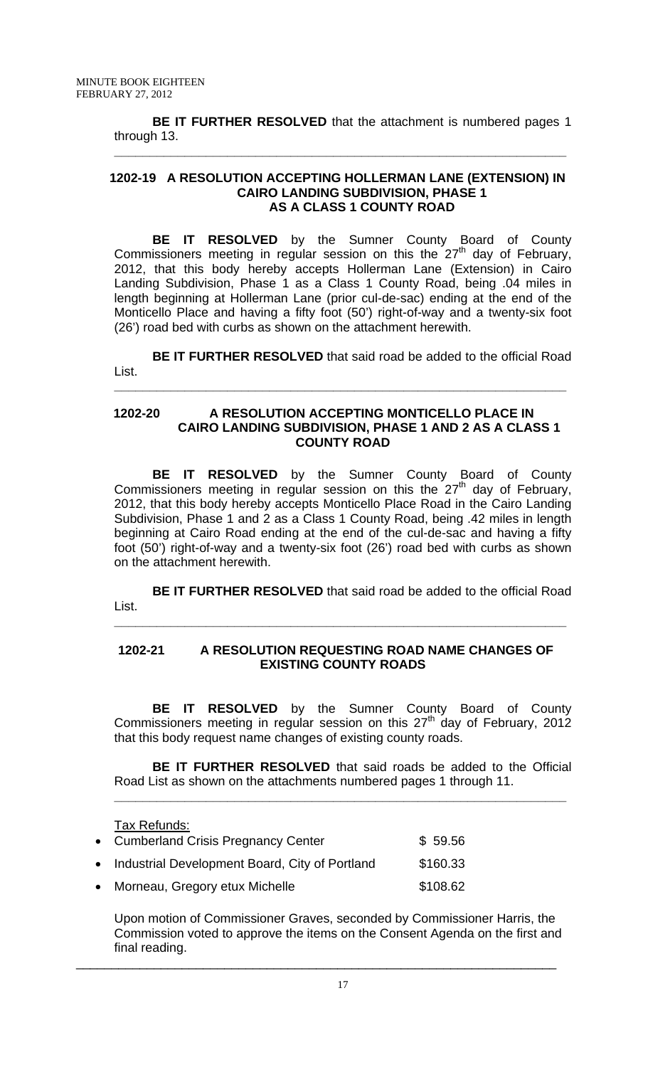**BE IT FURTHER RESOLVED** that the attachment is numbered pages 1 through 13. **\_\_\_\_\_\_\_\_\_\_\_\_\_\_\_\_\_\_\_\_\_\_\_\_\_\_\_\_\_\_\_\_\_\_\_\_\_\_\_\_\_\_\_\_\_\_\_\_\_\_\_\_\_\_\_\_\_\_\_\_\_\_\_\_**

### **1202-19 A RESOLUTION ACCEPTING HOLLERMAN LANE (EXTENSION) IN CAIRO LANDING SUBDIVISION, PHASE 1 AS A CLASS 1 COUNTY ROAD**

**BE IT RESOLVED** by the Sumner County Board of County Commissioners meeting in regular session on this the  $27<sup>th</sup>$  day of February, 2012, that this body hereby accepts Hollerman Lane (Extension) in Cairo Landing Subdivision, Phase 1 as a Class 1 County Road, being .04 miles in length beginning at Hollerman Lane (prior cul-de-sac) ending at the end of the Monticello Place and having a fifty foot (50') right-of-way and a twenty-six foot (26') road bed with curbs as shown on the attachment herewith.

**BE IT FURTHER RESOLVED** that said road be added to the official Road List.

**\_\_\_\_\_\_\_\_\_\_\_\_\_\_\_\_\_\_\_\_\_\_\_\_\_\_\_\_\_\_\_\_\_\_\_\_\_\_\_\_\_\_\_\_\_\_\_\_\_\_\_\_\_\_\_\_\_\_\_\_\_\_\_\_**

### **1202-20 A RESOLUTION ACCEPTING MONTICELLO PLACE IN CAIRO LANDING SUBDIVISION, PHASE 1 AND 2 AS A CLASS 1 COUNTY ROAD**

**BE IT RESOLVED** by the Sumner County Board of County Commissioners meeting in regular session on this the  $27<sup>th</sup>$  day of February, 2012, that this body hereby accepts Monticello Place Road in the Cairo Landing Subdivision, Phase 1 and 2 as a Class 1 County Road, being .42 miles in length beginning at Cairo Road ending at the end of the cul-de-sac and having a fifty foot (50') right-of-way and a twenty-six foot (26') road bed with curbs as shown on the attachment herewith.

**BE IT FURTHER RESOLVED** that said road be added to the official Road List.

**\_\_\_\_\_\_\_\_\_\_\_\_\_\_\_\_\_\_\_\_\_\_\_\_\_\_\_\_\_\_\_\_\_\_\_\_\_\_\_\_\_\_\_\_\_\_\_\_\_\_\_\_\_\_\_\_\_\_\_\_\_\_\_\_**

# **1202-21 A RESOLUTION REQUESTING ROAD NAME CHANGES OF EXISTING COUNTY ROADS**

**BE IT RESOLVED** by the Sumner County Board of County Commissioners meeting in regular session on this  $27<sup>th</sup>$  day of February, 2012 that this body request name changes of existing county roads.

**BE IT FURTHER RESOLVED** that said roads be added to the Official Road List as shown on the attachments numbered pages 1 through 11.

**\_\_\_\_\_\_\_\_\_\_\_\_\_\_\_\_\_\_\_\_\_\_\_\_\_\_\_\_\_\_\_\_\_\_\_\_\_\_\_\_\_\_\_\_\_\_\_\_\_\_\_\_\_\_\_\_\_\_\_\_\_\_\_\_**

Tax Refunds:

| • Cumberland Crisis Pregnancy Center             | \$59.56  |
|--------------------------------------------------|----------|
| • Industrial Development Board, City of Portland | \$160.33 |
| • Morneau, Gregory etux Michelle                 | \$108.62 |

Upon motion of Commissioner Graves, seconded by Commissioner Harris, the Commission voted to approve the items on the Consent Agenda on the first and final reading. \_\_\_\_\_\_\_\_\_\_\_\_\_\_\_\_\_\_\_\_\_\_\_\_\_\_\_\_\_\_\_\_\_\_\_\_\_\_\_\_\_\_\_\_\_\_\_\_\_\_\_\_\_\_\_\_\_\_\_\_\_\_\_\_\_\_\_\_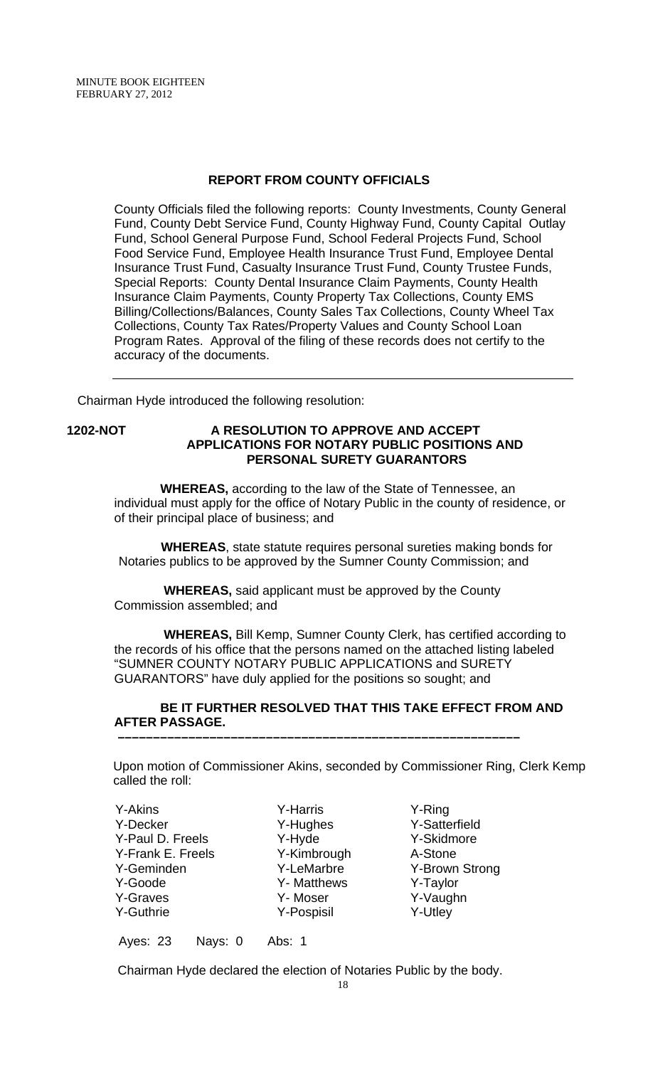### **REPORT FROM COUNTY OFFICIALS**

County Officials filed the following reports: County Investments, County General Fund, County Debt Service Fund, County Highway Fund, County Capital Outlay Fund, School General Purpose Fund, School Federal Projects Fund, School Food Service Fund, Employee Health Insurance Trust Fund, Employee Dental Insurance Trust Fund, Casualty Insurance Trust Fund, County Trustee Funds, Special Reports: County Dental Insurance Claim Payments, County Health Insurance Claim Payments, County Property Tax Collections, County EMS Billing/Collections/Balances, County Sales Tax Collections, County Wheel Tax Collections, County Tax Rates/Property Values and County School Loan Program Rates. Approval of the filing of these records does not certify to the accuracy of the documents.

Chairman Hyde introduced the following resolution:

### **1202-NOT A RESOLUTION TO APPROVE AND ACCEPT APPLICATIONS FOR NOTARY PUBLIC POSITIONS AND PERSONAL SURETY GUARANTORS**

 **WHEREAS,** according to the law of the State of Tennessee, an individual must apply for the office of Notary Public in the county of residence, or of their principal place of business; and

 **WHEREAS**, state statute requires personal sureties making bonds for Notaries publics to be approved by the Sumner County Commission; and

 **WHEREAS,** said applicant must be approved by the County Commission assembled; and

 **WHEREAS,** Bill Kemp, Sumner County Clerk, has certified according to the records of his office that the persons named on the attached listing labeled "SUMNER COUNTY NOTARY PUBLIC APPLICATIONS and SURETY GUARANTORS" have duly applied for the positions so sought; and

### **BE IT FURTHER RESOLVED THAT THIS TAKE EFFECT FROM AND AFTER PASSAGE. –––––––––––––––––––––––––––––––––––––––––––––––––––––––––**

 Upon motion of Commissioner Akins, seconded by Commissioner Ring, Clerk Kemp called the roll:

- Y-Akins Y-Decker Y-Paul D. Freels Y-Frank E. Freels Y-Geminden Y-Goode Y-Graves Y-Guthrie
- Y-Harris Y-Hughes Y-Hyde Y-Kimbrough Y-LeMarbre Y- Matthews Y- Moser Y-Pospisil
- Y-Ring Y-Satterfield Y-Skidmore A-Stone Y-Brown Strong Y-Taylor Y-Vaughn Y-Utley

Ayes: 23 Nays: 0 Abs: 1

Chairman Hyde declared the election of Notaries Public by the body.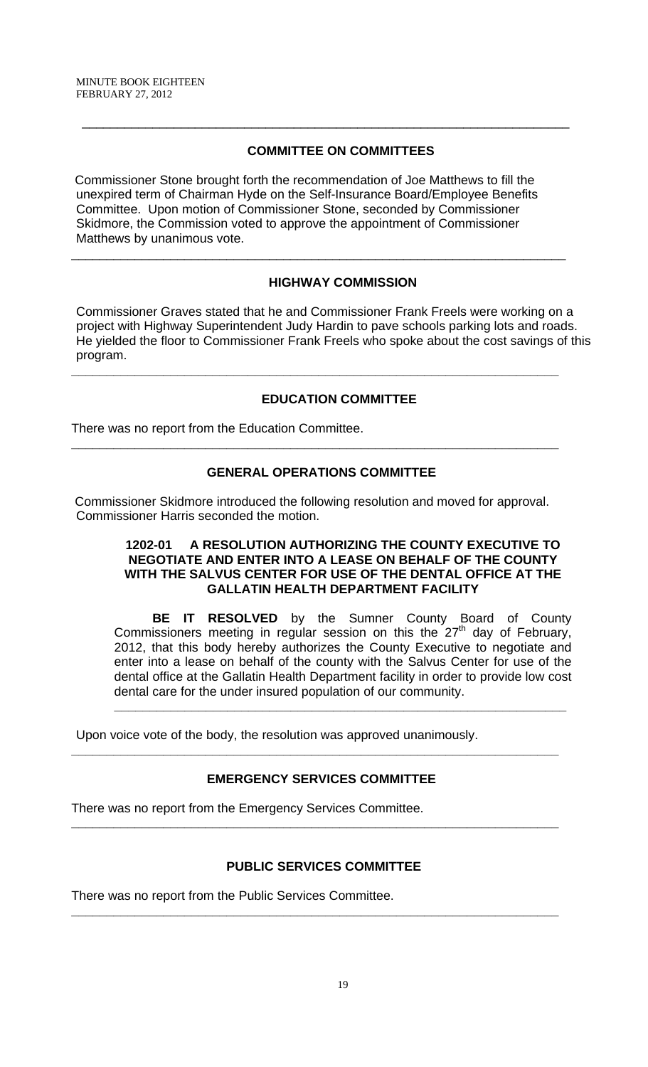# **COMMITTEE ON COMMITTEES**

 $\overline{\phantom{a}}$  , and the contribution of the contribution of the contribution of the contribution of the contribution of the contribution of the contribution of the contribution of the contribution of the contribution of the

 Commissioner Stone brought forth the recommendation of Joe Matthews to fill the unexpired term of Chairman Hyde on the Self-Insurance Board/Employee Benefits Committee. Upon motion of Commissioner Stone, seconded by Commissioner Skidmore, the Commission voted to approve the appointment of Commissioner Matthews by unanimous vote.

\_\_\_\_\_\_\_\_\_\_\_\_\_\_\_\_\_\_\_\_\_\_\_\_\_\_\_\_\_\_\_\_\_\_\_\_\_\_\_\_\_\_\_\_\_\_\_\_\_\_\_\_\_\_\_\_\_\_\_\_\_\_\_\_\_\_\_\_\_\_

# **HIGHWAY COMMISSION**

Commissioner Graves stated that he and Commissioner Frank Freels were working on a project with Highway Superintendent Judy Hardin to pave schools parking lots and roads. He yielded the floor to Commissioner Frank Freels who spoke about the cost savings of this program.

**\_\_\_\_\_\_\_\_\_\_\_\_\_\_\_\_\_\_\_\_\_\_\_\_\_\_\_\_\_\_\_\_\_\_\_\_\_\_\_\_\_\_\_\_\_\_\_\_\_\_\_\_\_\_\_\_\_\_\_\_\_\_\_\_\_\_\_\_\_** 

# **EDUCATION COMMITTEE**

There was no report from the Education Committee.

# **GENERAL OPERATIONS COMMITTEE**

**\_\_\_\_\_\_\_\_\_\_\_\_\_\_\_\_\_\_\_\_\_\_\_\_\_\_\_\_\_\_\_\_\_\_\_\_\_\_\_\_\_\_\_\_\_\_\_\_\_\_\_\_\_\_\_\_\_\_\_\_\_\_\_\_\_\_\_\_\_** 

 Commissioner Skidmore introduced the following resolution and moved for approval. Commissioner Harris seconded the motion.

### **1202-01 A RESOLUTION AUTHORIZING THE COUNTY EXECUTIVE TO NEGOTIATE AND ENTER INTO A LEASE ON BEHALF OF THE COUNTY WITH THE SALVUS CENTER FOR USE OF THE DENTAL OFFICE AT THE GALLATIN HEALTH DEPARTMENT FACILITY**

**BE IT RESOLVED** by the Sumner County Board of County Commissioners meeting in regular session on this the  $27<sup>th</sup>$  day of February, 2012, that this body hereby authorizes the County Executive to negotiate and enter into a lease on behalf of the county with the Salvus Center for use of the dental office at the Gallatin Health Department facility in order to provide low cost dental care for the under insured population of our community.

**\_\_\_\_\_\_\_\_\_\_\_\_\_\_\_\_\_\_\_\_\_\_\_\_\_\_\_\_\_\_\_\_\_\_\_\_\_\_\_\_\_\_\_\_\_\_\_\_\_\_\_\_\_\_\_\_\_\_\_\_\_\_\_\_**

Upon voice vote of the body, the resolution was approved unanimously.

# **EMERGENCY SERVICES COMMITTEE**

**\_\_\_\_\_\_\_\_\_\_\_\_\_\_\_\_\_\_\_\_\_\_\_\_\_\_\_\_\_\_\_\_\_\_\_\_\_\_\_\_\_\_\_\_\_\_\_\_\_\_\_\_\_\_\_\_\_\_\_\_\_\_\_\_\_\_\_\_\_** 

**\_\_\_\_\_\_\_\_\_\_\_\_\_\_\_\_\_\_\_\_\_\_\_\_\_\_\_\_\_\_\_\_\_\_\_\_\_\_\_\_\_\_\_\_\_\_\_\_\_\_\_\_\_\_\_\_\_\_\_\_\_\_\_\_\_\_\_\_\_** 

There was no report from the Emergency Services Committee.

# **PUBLIC SERVICES COMMITTEE**

**\_\_\_\_\_\_\_\_\_\_\_\_\_\_\_\_\_\_\_\_\_\_\_\_\_\_\_\_\_\_\_\_\_\_\_\_\_\_\_\_\_\_\_\_\_\_\_\_\_\_\_\_\_\_\_\_\_\_\_\_\_\_\_\_\_\_\_\_\_** 

There was no report from the Public Services Committee.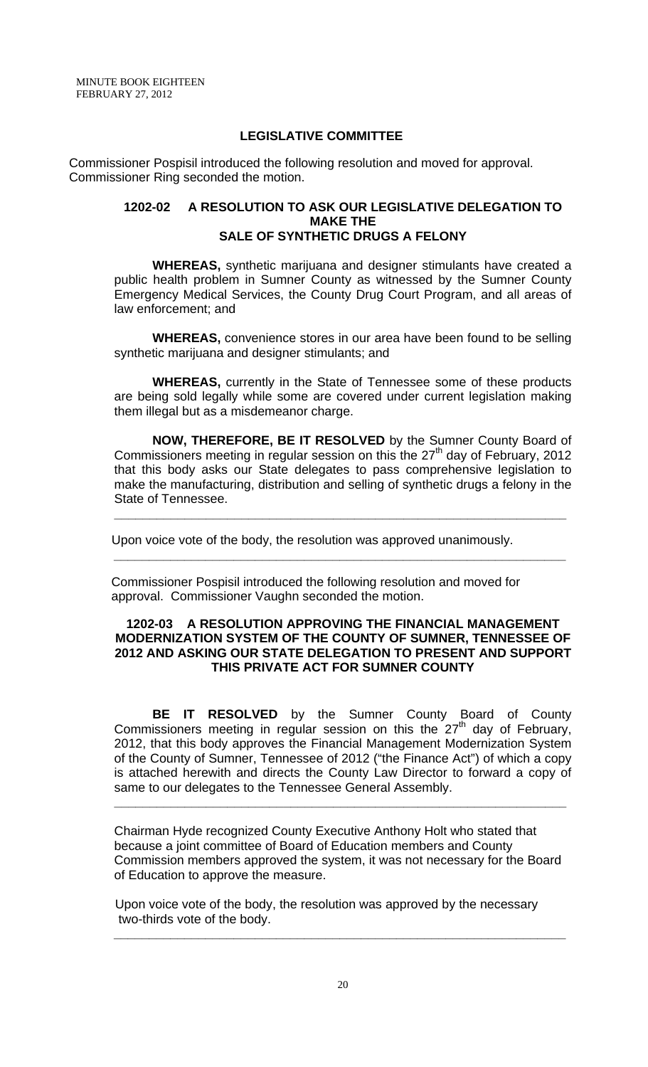### **LEGISLATIVE COMMITTEE**

 Commissioner Pospisil introduced the following resolution and moved for approval. Commissioner Ring seconded the motion.

#### **1202-02 A RESOLUTION TO ASK OUR LEGISLATIVE DELEGATION TO MAKE THE SALE OF SYNTHETIC DRUGS A FELONY**

**WHEREAS,** synthetic marijuana and designer stimulants have created a public health problem in Sumner County as witnessed by the Sumner County Emergency Medical Services, the County Drug Court Program, and all areas of law enforcement; and

**WHEREAS,** convenience stores in our area have been found to be selling synthetic marijuana and designer stimulants; and

**WHEREAS,** currently in the State of Tennessee some of these products are being sold legally while some are covered under current legislation making them illegal but as a misdemeanor charge.

**NOW, THEREFORE, BE IT RESOLVED** by the Sumner County Board of Commissioners meeting in regular session on this the  $27<sup>th</sup>$  day of February, 2012 that this body asks our State delegates to pass comprehensive legislation to make the manufacturing, distribution and selling of synthetic drugs a felony in the State of Tennessee.

**\_\_\_\_\_\_\_\_\_\_\_\_\_\_\_\_\_\_\_\_\_\_\_\_\_\_\_\_\_\_\_\_\_\_\_\_\_\_\_\_\_\_\_\_\_\_\_\_\_\_\_\_\_\_\_\_\_\_\_\_\_\_\_\_**

Upon voice vote of the body, the resolution was approved unanimously.

 Commissioner Pospisil introduced the following resolution and moved for approval. Commissioner Vaughn seconded the motion.

 **\_\_\_\_\_\_\_\_\_\_\_\_\_\_\_\_\_\_\_\_\_\_\_\_\_\_\_\_\_\_\_\_\_\_\_\_\_\_\_\_\_\_\_\_\_\_\_\_\_\_\_\_\_\_\_\_\_\_\_\_\_\_\_\_** 

### **1202-03 A RESOLUTION APPROVING THE FINANCIAL MANAGEMENT MODERNIZATION SYSTEM OF THE COUNTY OF SUMNER, TENNESSEE OF 2012 AND ASKING OUR STATE DELEGATION TO PRESENT AND SUPPORT THIS PRIVATE ACT FOR SUMNER COUNTY**

 **BE IT RESOLVED** by the Sumner County Board of County Commissioners meeting in regular session on this the  $27<sup>th</sup>$  day of February, 2012, that this body approves the Financial Management Modernization System of the County of Sumner, Tennessee of 2012 ("the Finance Act") of which a copy is attached herewith and directs the County Law Director to forward a copy of same to our delegates to the Tennessee General Assembly.

Chairman Hyde recognized County Executive Anthony Holt who stated that because a joint committee of Board of Education members and County Commission members approved the system, it was not necessary for the Board of Education to approve the measure.

**\_\_\_\_\_\_\_\_\_\_\_\_\_\_\_\_\_\_\_\_\_\_\_\_\_\_\_\_\_\_\_\_\_\_\_\_\_\_\_\_\_\_\_\_\_\_\_\_\_\_\_\_\_\_\_\_\_\_\_\_\_\_\_\_**

 Upon voice vote of the body, the resolution was approved by the necessary two-thirds vote of the body.

 **\_\_\_\_\_\_\_\_\_\_\_\_\_\_\_\_\_\_\_\_\_\_\_\_\_\_\_\_\_\_\_\_\_\_\_\_\_\_\_\_\_\_\_\_\_\_\_\_\_\_\_\_\_\_\_\_\_\_\_\_\_\_\_\_**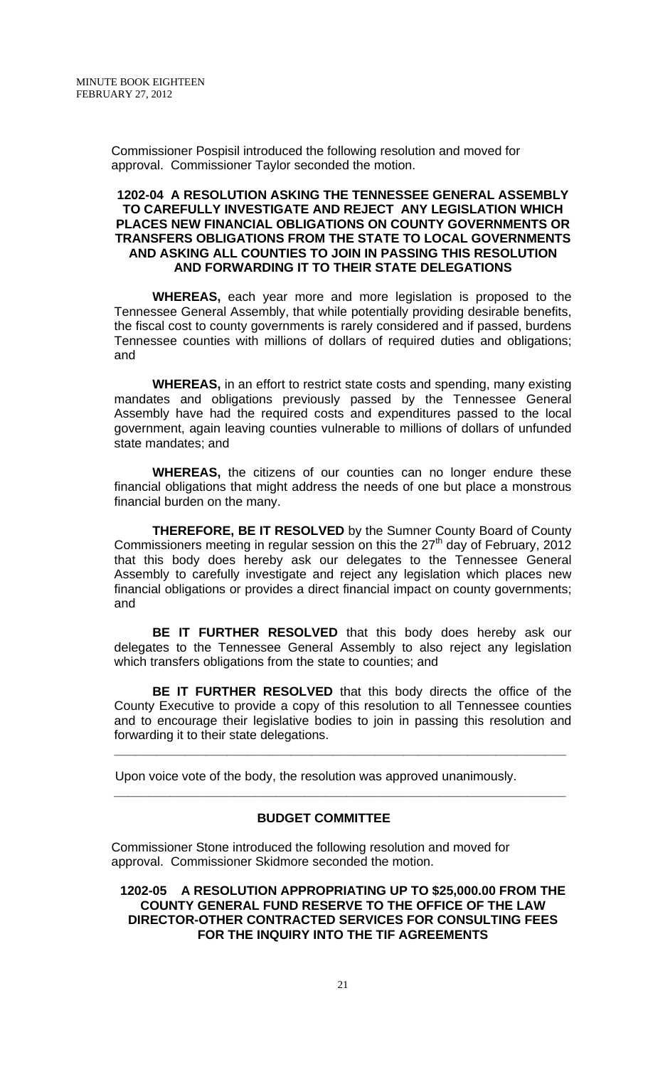Commissioner Pospisil introduced the following resolution and moved for approval. Commissioner Taylor seconded the motion.

### **1202-04 A RESOLUTION ASKING THE TENNESSEE GENERAL ASSEMBLY TO CAREFULLY INVESTIGATE AND REJECT ANY LEGISLATION WHICH PLACES NEW FINANCIAL OBLIGATIONS ON COUNTY GOVERNMENTS OR TRANSFERS OBLIGATIONS FROM THE STATE TO LOCAL GOVERNMENTS AND ASKING ALL COUNTIES TO JOIN IN PASSING THIS RESOLUTION AND FORWARDING IT TO THEIR STATE DELEGATIONS**

**WHEREAS,** each year more and more legislation is proposed to the Tennessee General Assembly, that while potentially providing desirable benefits, the fiscal cost to county governments is rarely considered and if passed, burdens Tennessee counties with millions of dollars of required duties and obligations; and

**WHEREAS,** in an effort to restrict state costs and spending, many existing mandates and obligations previously passed by the Tennessee General Assembly have had the required costs and expenditures passed to the local government, again leaving counties vulnerable to millions of dollars of unfunded state mandates; and

**WHEREAS,** the citizens of our counties can no longer endure these financial obligations that might address the needs of one but place a monstrous financial burden on the many.

**THEREFORE, BE IT RESOLVED** by the Sumner County Board of County Commissioners meeting in regular session on this the  $27<sup>th</sup>$  day of February, 2012 that this body does hereby ask our delegates to the Tennessee General Assembly to carefully investigate and reject any legislation which places new financial obligations or provides a direct financial impact on county governments; and

**BE IT FURTHER RESOLVED** that this body does hereby ask our delegates to the Tennessee General Assembly to also reject any legislation which transfers obligations from the state to counties; and

**BE IT FURTHER RESOLVED** that this body directs the office of the County Executive to provide a copy of this resolution to all Tennessee counties and to encourage their legislative bodies to join in passing this resolution and forwarding it to their state delegations.

**\_\_\_\_\_\_\_\_\_\_\_\_\_\_\_\_\_\_\_\_\_\_\_\_\_\_\_\_\_\_\_\_\_\_\_\_\_\_\_\_\_\_\_\_\_\_\_\_\_\_\_\_\_\_\_\_\_\_\_\_\_\_\_\_**

 Upon voice vote of the body, the resolution was approved unanimously.  **\_\_\_\_\_\_\_\_\_\_\_\_\_\_\_\_\_\_\_\_\_\_\_\_\_\_\_\_\_\_\_\_\_\_\_\_\_\_\_\_\_\_\_\_\_\_\_\_\_\_\_\_\_\_\_\_\_\_\_\_\_\_\_\_** 

### **BUDGET COMMITTEE**

 Commissioner Stone introduced the following resolution and moved for approval. Commissioner Skidmore seconded the motion.

**1202-05 A RESOLUTION APPROPRIATING UP TO \$25,000.00 FROM THE COUNTY GENERAL FUND RESERVE TO THE OFFICE OF THE LAW DIRECTOR-OTHER CONTRACTED SERVICES FOR CONSULTING FEES FOR THE INQUIRY INTO THE TIF AGREEMENTS**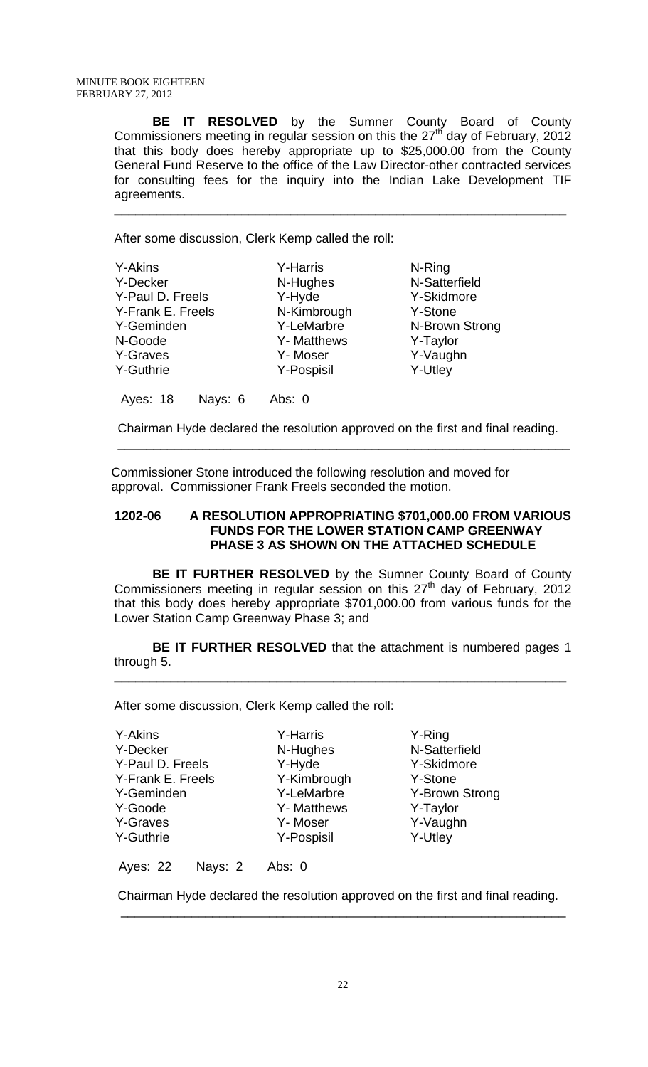**BE IT RESOLVED** by the Sumner County Board of County Commissioners meeting in regular session on this the  $27<sup>th</sup>$  day of February, 2012 that this body does hereby appropriate up to \$25,000.00 from the County General Fund Reserve to the office of the Law Director-other contracted services for consulting fees for the inquiry into the Indian Lake Development TIF agreements.

**\_\_\_\_\_\_\_\_\_\_\_\_\_\_\_\_\_\_\_\_\_\_\_\_\_\_\_\_\_\_\_\_\_\_\_\_\_\_\_\_\_\_\_\_\_\_\_\_\_\_\_\_\_\_\_\_\_\_\_\_\_\_\_\_**

After some discussion, Clerk Kemp called the roll:

| <b>Y-Akins</b>    |         | <b>Y-Harris</b> | N-Ring         |
|-------------------|---------|-----------------|----------------|
| Y-Decker          |         | N-Hughes        | N-Satterfield  |
| Y-Paul D. Freels  |         | Y-Hyde          | Y-Skidmore     |
| Y-Frank E. Freels |         | N-Kimbrough     | Y-Stone        |
| Y-Geminden        |         | Y-LeMarbre      | N-Brown Strong |
| N-Goode           |         | Y- Matthews     | Y-Taylor       |
| Y-Graves          |         | Y-Moser         | Y-Vaughn       |
| Y-Guthrie         |         | Y-Pospisil      | Y-Utley        |
| Ayes: 18          | Nays: 6 | Abs: 0          |                |

 Chairman Hyde declared the resolution approved on the first and final reading. \_\_\_\_\_\_\_\_\_\_\_\_\_\_\_\_\_\_\_\_\_\_\_\_\_\_\_\_\_\_\_\_\_\_\_\_\_\_\_\_\_\_\_\_\_\_\_\_\_\_\_\_\_\_\_\_\_\_\_\_\_\_\_\_

 Commissioner Stone introduced the following resolution and moved for approval. Commissioner Frank Freels seconded the motion.

### **1202-06 A RESOLUTION APPROPRIATING \$701,000.00 FROM VARIOUS FUNDS FOR THE LOWER STATION CAMP GREENWAY PHASE 3 AS SHOWN ON THE ATTACHED SCHEDULE**

**BE IT FURTHER RESOLVED** by the Sumner County Board of County Commissioners meeting in regular session on this  $27<sup>th</sup>$  day of February, 2012 that this body does hereby appropriate \$701,000.00 from various funds for the Lower Station Camp Greenway Phase 3; and

**BE IT FURTHER RESOLVED** that the attachment is numbered pages 1 through 5.

**\_\_\_\_\_\_\_\_\_\_\_\_\_\_\_\_\_\_\_\_\_\_\_\_\_\_\_\_\_\_\_\_\_\_\_\_\_\_\_\_\_\_\_\_\_\_\_\_\_\_\_\_\_\_\_\_\_\_\_\_\_\_\_\_**

After some discussion, Clerk Kemp called the roll:

Y-Akins Y-Decker Y-Paul D. Freels Y-Frank E. Freels Y-Geminden Y-Goode Y-Graves Y-Guthrie

Y-Harris N-Hughes Y-Hyde Y-Kimbrough Y-LeMarbre Y- Matthews Y- Moser Y-Pospisil

Y-Ring N-Satterfield Y-Skidmore Y-Stone Y-Brown Strong Y-Taylor Y-Vaughn Y-Utley

Ayes: 22 Nays: 2 Abs: 0

Chairman Hyde declared the resolution approved on the first and final reading.

\_\_\_\_\_\_\_\_\_\_\_\_\_\_\_\_\_\_\_\_\_\_\_\_\_\_\_\_\_\_\_\_\_\_\_\_\_\_\_\_\_\_\_\_\_\_\_\_\_\_\_\_\_\_\_\_\_\_\_\_\_\_\_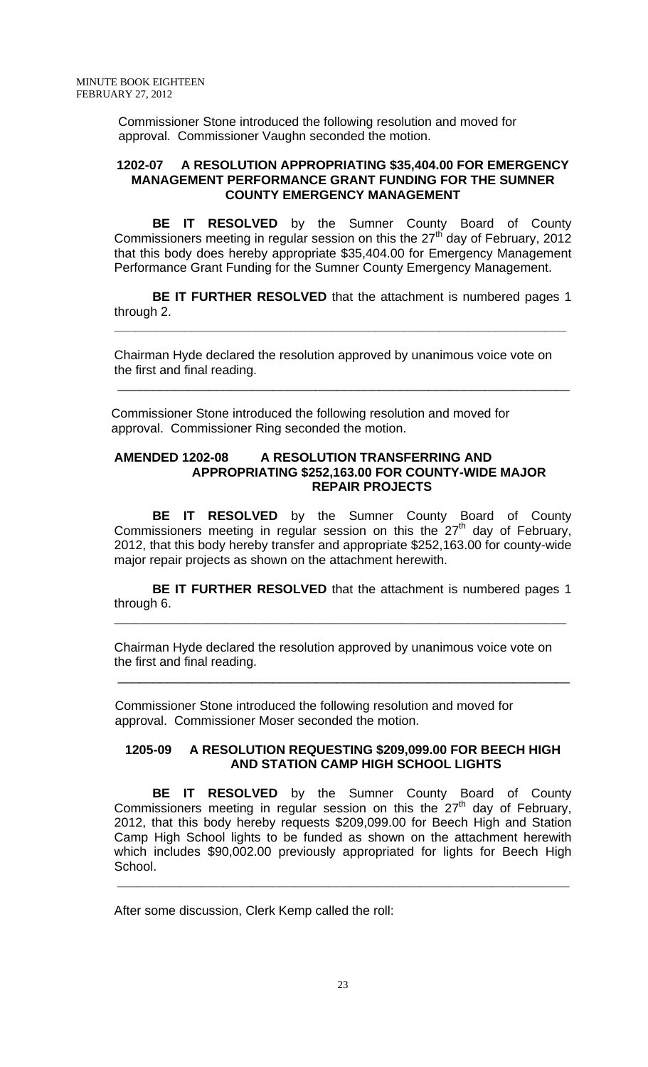Commissioner Stone introduced the following resolution and moved for approval. Commissioner Vaughn seconded the motion.

#### **1202-07 A RESOLUTION APPROPRIATING \$35,404.00 FOR EMERGENCY MANAGEMENT PERFORMANCE GRANT FUNDING FOR THE SUMNER COUNTY EMERGENCY MANAGEMENT**

 **BE IT RESOLVED** by the Sumner County Board of County Commissioners meeting in regular session on this the  $27<sup>th</sup>$  day of February, 2012 that this body does hereby appropriate \$35,404.00 for Emergency Management Performance Grant Funding for the Sumner County Emergency Management.

**BE IT FURTHER RESOLVED** that the attachment is numbered pages 1 through 2.

**\_\_\_\_\_\_\_\_\_\_\_\_\_\_\_\_\_\_\_\_\_\_\_\_\_\_\_\_\_\_\_\_\_\_\_\_\_\_\_\_\_\_\_\_\_\_\_\_\_\_\_\_\_\_\_\_\_\_\_\_\_\_\_\_**

Chairman Hyde declared the resolution approved by unanimous voice vote on the first and final reading.

\_\_\_\_\_\_\_\_\_\_\_\_\_\_\_\_\_\_\_\_\_\_\_\_\_\_\_\_\_\_\_\_\_\_\_\_\_\_\_\_\_\_\_\_\_\_\_\_\_\_\_\_\_\_\_\_\_\_\_\_\_\_\_\_

 Commissioner Stone introduced the following resolution and moved for approval. Commissioner Ring seconded the motion.

### **AMENDED 1202-08 A RESOLUTION TRANSFERRING AND APPROPRIATING \$252,163.00 FOR COUNTY-WIDE MAJOR REPAIR PROJECTS**

 **BE IT RESOLVED** by the Sumner County Board of County Commissioners meeting in regular session on this the  $27<sup>th</sup>$  day of February, 2012, that this body hereby transfer and appropriate \$252,163.00 for county-wide major repair projects as shown on the attachment herewith.

**BE IT FURTHER RESOLVED** that the attachment is numbered pages 1 through 6.

**\_\_\_\_\_\_\_\_\_\_\_\_\_\_\_\_\_\_\_\_\_\_\_\_\_\_\_\_\_\_\_\_\_\_\_\_\_\_\_\_\_\_\_\_\_\_\_\_\_\_\_\_\_\_\_\_\_\_\_\_\_\_\_\_**

Chairman Hyde declared the resolution approved by unanimous voice vote on the first and final reading.

\_\_\_\_\_\_\_\_\_\_\_\_\_\_\_\_\_\_\_\_\_\_\_\_\_\_\_\_\_\_\_\_\_\_\_\_\_\_\_\_\_\_\_\_\_\_\_\_\_\_\_\_\_\_\_\_\_\_\_\_\_\_\_\_

 Commissioner Stone introduced the following resolution and moved for approval. Commissioner Moser seconded the motion.

### **1205-09 A RESOLUTION REQUESTING \$209,099.00 FOR BEECH HIGH AND STATION CAMP HIGH SCHOOL LIGHTS**

**BE IT RESOLVED** by the Sumner County Board of County Commissioners meeting in regular session on this the  $27<sup>th</sup>$  day of February, 2012, that this body hereby requests \$209,099.00 for Beech High and Station Camp High School lights to be funded as shown on the attachment herewith which includes \$90,002.00 previously appropriated for lights for Beech High School.

 **\_\_\_\_\_\_\_\_\_\_\_\_\_\_\_\_\_\_\_\_\_\_\_\_\_\_\_\_\_\_\_\_\_\_\_\_\_\_\_\_\_\_\_\_\_\_\_\_\_\_\_\_\_\_\_\_\_\_\_\_\_\_\_\_** 

After some discussion, Clerk Kemp called the roll: